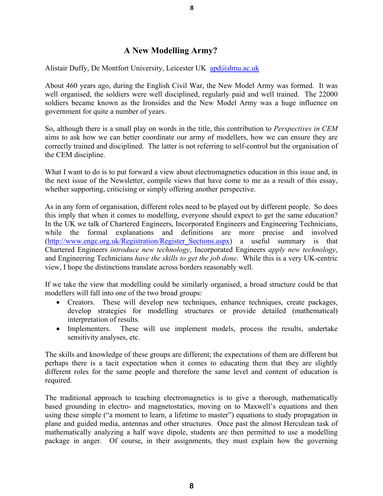## **A New Modelling Army?**

Alistair Duffy, De Montfort University, Leicester UK [apd@dmu.ac.uk](mailto:apd@dmu.ac.uk)

About 460 years ago, during the English Civil War, the New Model Army was formed. It was well organised, the soldiers were well disciplined, regularly paid and well trained. The 22000 soldiers became known as the Ironsides and the New Model Army was a huge influence on government for quite a number of years.

So, although there is a small play on words in the title, this contribution to *Perspectives in CEM* aims to ask how we can better coordinate our army of modellers, how we can ensure they are correctly trained and disciplined. The latter is not referring to self-control but the organisation of the CEM discipline.

What I want to do is to put forward a view about electromagnetics education in this issue and, in the next issue of the Newsletter, compile views that have come to me as a result of this essay, whether supporting, criticising or simply offering another perspective.

As in any form of organisation, different roles need to be played out by different people. So does this imply that when it comes to modelling, everyone should expect to get the same education? In the UK we talk of Chartered Engineers, Incorporated Engineers and Engineering Technicians, while the formal explanations and definitions are more precise and involved ([http://www.engc.org.uk/Registration/Register\\_Sections.aspx](http://www.engc.org.uk/Registration/Register_Sections.aspx)) a useful summary is that Chartered Engineers *introduce new technology*, Incorporated Engineers *apply new technology*, and Engineering Technicians *have the skills to get the job done*. While this is a very UK-centric view, I hope the distinctions translate across borders reasonably well.

If we take the view that modelling could be similarly organised, a broad structure could be that modellers will fall into one of the two broad groups:

- Creators. These will develop new techniques, enhance techniques, create packages, develop strategies for modelling structures or provide detailed (mathematical) interpretation of results.
- Implementers. These will use implement models, process the results, undertake sensitivity analyses, etc.

The skills and knowledge of these groups are different; the expectations of them are different but perhaps there is a tacit expectation when it comes to educating them that they are slightly different roles for the same people and therefore the same level and content of education is required.

The traditional approach to teaching electromagnetics is to give a thorough, mathematically based grounding in electro- and magnetostatics, moving on to Maxwell's equations and then using these simple ("a moment to learn, a lifetime to master") equations to study propagation in plane and guided media, antennas and other structures. Once past the almost Herculean task of mathematically analyzing a half wave dipole, students are then permitted to use a modelling package in anger. Of course, in their assignments, they must explain how the governing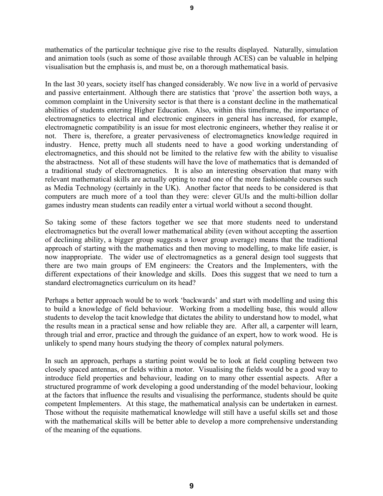mathematics of the particular technique give rise to the results displayed. Naturally, simulation and animation tools (such as some of those available through ACES) can be valuable in helping visualisation but the emphasis is, and must be, on a thorough mathematical basis.

In the last 30 years, society itself has changed considerably. We now live in a world of pervasive and passive entertainment. Although there are statistics that 'prove' the assertion both ways, a common complaint in the University sector is that there is a constant decline in the mathematical abilities of students entering Higher Education. Also, within this timeframe, the importance of electromagnetics to electrical and electronic engineers in general has increased, for example, electromagnetic compatibility is an issue for most electronic engineers, whether they realise it or not. There is, therefore, a greater pervasiveness of electromagnetics knowledge required in industry. Hence, pretty much all students need to have a good working understanding of electromagnetics, and this should not be limited to the relative few with the ability to visualise the abstractness. Not all of these students will have the love of mathematics that is demanded of a traditional study of electromagnetics. It is also an interesting observation that many with relevant mathematical skills are actually opting to read one of the more fashionable courses such as Media Technology (certainly in the UK). Another factor that needs to be considered is that computers are much more of a tool than they were: clever GUIs and the multi-billion dollar games industry mean students can readily enter a virtual world without a second thought.

So taking some of these factors together we see that more students need to understand electromagnetics but the overall lower mathematical ability (even without accepting the assertion of declining ability, a bigger group suggests a lower group average) means that the traditional approach of starting with the mathematics and then moving to modelling, to make life easier, is now inappropriate. The wider use of electromagnetics as a general design tool suggests that there are two main groups of EM engineers: the Creators and the Implementers, with the different expectations of their knowledge and skills. Does this suggest that we need to turn a standard electromagnetics curriculum on its head?

Perhaps a better approach would be to work 'backwards' and start with modelling and using this to build a knowledge of field behaviour. Working from a modelling base, this would allow students to develop the tacit knowledge that dictates the ability to understand how to model, what the results mean in a practical sense and how reliable they are. After all, a carpenter will learn, through trial and error, practice and through the guidance of an expert, how to work wood. He is unlikely to spend many hours studying the theory of complex natural polymers.

In such an approach, perhaps a starting point would be to look at field coupling between two closely spaced antennas, or fields within a motor. Visualising the fields would be a good way to introduce field properties and behaviour, leading on to many other essential aspects. After a structured programme of work developing a good understanding of the model behaviour, looking at the factors that influence the results and visualising the performance, students should be quite competent Implementers. At this stage, the mathematical analysis can be undertaken in earnest. Those without the requisite mathematical knowledge will still have a useful skills set and those with the mathematical skills will be better able to develop a more comprehensive understanding of the meaning of the equations.